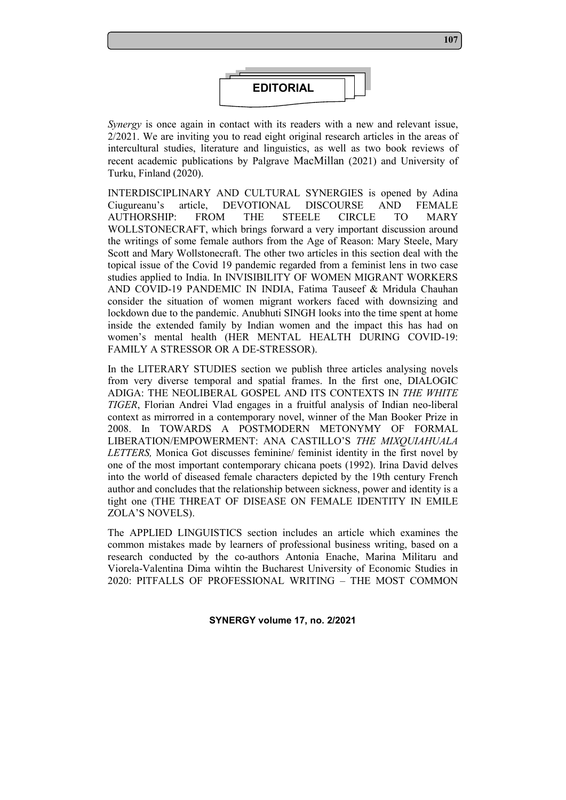

*Synergy* is once again in contact with its readers with a new and relevant issue, 2/2021. We are inviting you to read eight original research articles in the areas of intercultural studies, literature and linguistics, as well as two book reviews of recent academic publications by Palgrave MacMillan (2021) and University of Turku, Finland (2020).

INTERDISCIPLINARY AND CULTURAL SYNERGIES is opened by Adina Ciugureanu's article, DEVOTIONAL DISCOURSE AND FEMALE AUTHORSHIP: FROM THE STEELE CIRCLE TO MARY WOLLSTONECRAFT, which brings forward a very important discussion around the writings of some female authors from the Age of Reason: Mary Steele, Mary Scott and Mary Wollstonecraft. The other two articles in this section deal with the topical issue of the Covid 19 pandemic regarded from a feminist lens in two case studies applied to India. In INVISIBILITY OF WOMEN MIGRANT WORKERS AND COVID-19 PANDEMIC IN INDIA, Fatima Tauseef & Mridula Chauhan consider the situation of women migrant workers faced with downsizing and lockdown due to the pandemic. Anubhuti SINGH looks into the time spent at home inside the extended family by Indian women and the impact this has had on women's mental health (HER MENTAL HEALTH DURING COVID-19: FAMILY A STRESSOR OR A DE-STRESSOR).

In the LITERARY STUDIES section we publish three articles analysing novels from very diverse temporal and spatial frames. In the first one, DIALOGIC ADIGA: THE NEOLIBERAL GOSPEL AND ITS CONTEXTS IN *THE WHITE TIGER*, Florian Andrei Vlad engages in a fruitful analysis of Indian neo-liberal context as mirrorred in a contemporary novel, winner of the Man Booker Prize in 2008. In TOWARDS A POSTMODERN METONYMY OF FORMAL LIBERATION/EMPOWERMENT: ANA CASTILLO'S *THE MIXQUIAHUALA LETTERS,* Monica Got discusses feminine/ feminist identity in the first novel by one of the most important contemporary chicana poets (1992). Irina David delves into the world of diseased female characters depicted by the 19th century French author and concludes that the relationship between sickness, power and identity is a tight one (THE THREAT OF DISEASE ON FEMALE IDENTITY IN EMILE ZOLA'S NOVELS).

The APPLIED LINGUISTICS section includes an article which examines the common mistakes made by learners of professional business writing, based on a research conducted by the co-authors Antonia Enache, Marina Militaru and Viorela-Valentina Dima wihtin the Bucharest University of Economic Studies in 2020: PITFALLS OF PROFESSIONAL WRITING – THE MOST COMMON

**SYNERGY volume 17, no. 2/2021**